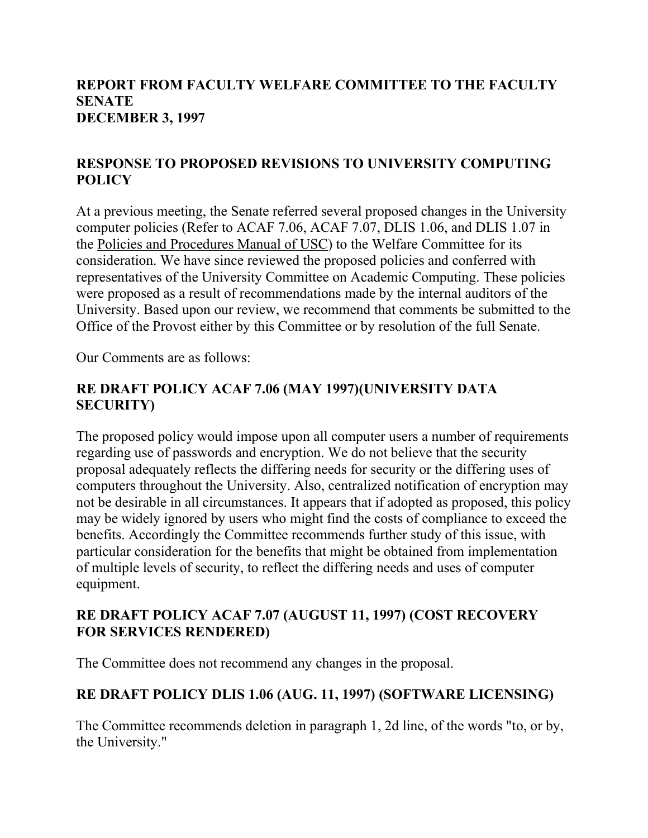#### **REPORT FROM FACULTY WELFARE COMMITTEE TO THE FACULTY SENATE DECEMBER 3, 1997**

### **RESPONSE TO PROPOSED REVISIONS TO UNIVERSITY COMPUTING POLICY**

At a previous meeting, the Senate referred several proposed changes in the University computer policies (Refer to ACAF 7.06, ACAF 7.07, DLIS 1.06, and DLIS 1.07 in the Policies and Procedures Manual of USC) to the Welfare Committee for its consideration. We have since reviewed the proposed policies and conferred with representatives of the University Committee on Academic Computing. These policies were proposed as a result of recommendations made by the internal auditors of the University. Based upon our review, we recommend that comments be submitted to the Office of the Provost either by this Committee or by resolution of the full Senate.

Our Comments are as follows:

#### **RE DRAFT POLICY ACAF 7.06 (MAY 1997)(UNIVERSITY DATA SECURITY)**

The proposed policy would impose upon all computer users a number of requirements regarding use of passwords and encryption. We do not believe that the security proposal adequately reflects the differing needs for security or the differing uses of computers throughout the University. Also, centralized notification of encryption may not be desirable in all circumstances. It appears that if adopted as proposed, this policy may be widely ignored by users who might find the costs of compliance to exceed the benefits. Accordingly the Committee recommends further study of this issue, with particular consideration for the benefits that might be obtained from implementation of multiple levels of security, to reflect the differing needs and uses of computer equipment.

### **RE DRAFT POLICY ACAF 7.07 (AUGUST 11, 1997) (COST RECOVERY FOR SERVICES RENDERED)**

The Committee does not recommend any changes in the proposal.

## **RE DRAFT POLICY DLIS 1.06 (AUG. 11, 1997) (SOFTWARE LICENSING)**

The Committee recommends deletion in paragraph 1, 2d line, of the words "to, or by, the University."